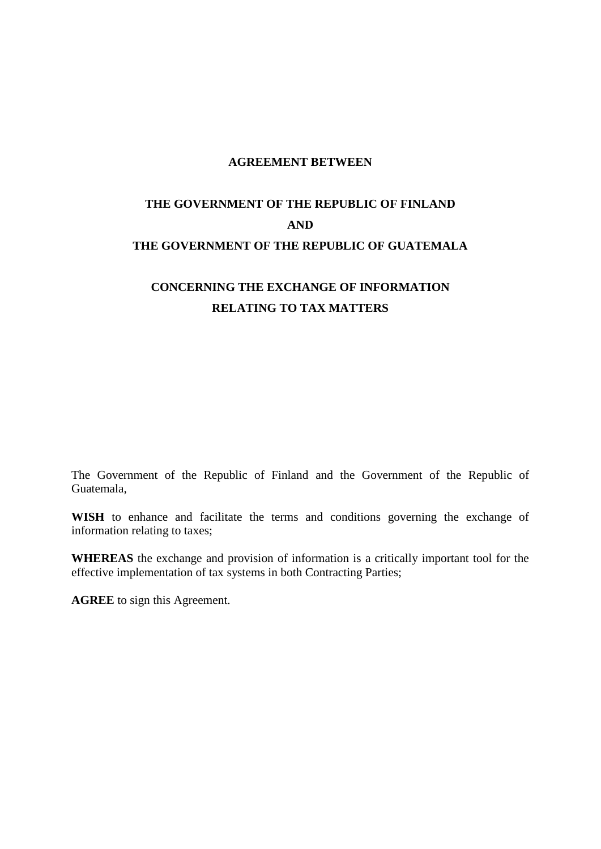#### **AGREEMENT BETWEEN**

# **THE GOVERNMENT OF THE REPUBLIC OF FINLAND AND THE GOVERNMENT OF THE REPUBLIC OF GUATEMALA**

## **CONCERNING THE EXCHANGE OF INFORMATION RELATING TO TAX MATTERS**

The Government of the Republic of Finland and the Government of the Republic of Guatemala,

**WISH** to enhance and facilitate the terms and conditions governing the exchange of information relating to taxes;

**WHEREAS** the exchange and provision of information is a critically important tool for the effective implementation of tax systems in both Contracting Parties;

**AGREE** to sign this Agreement.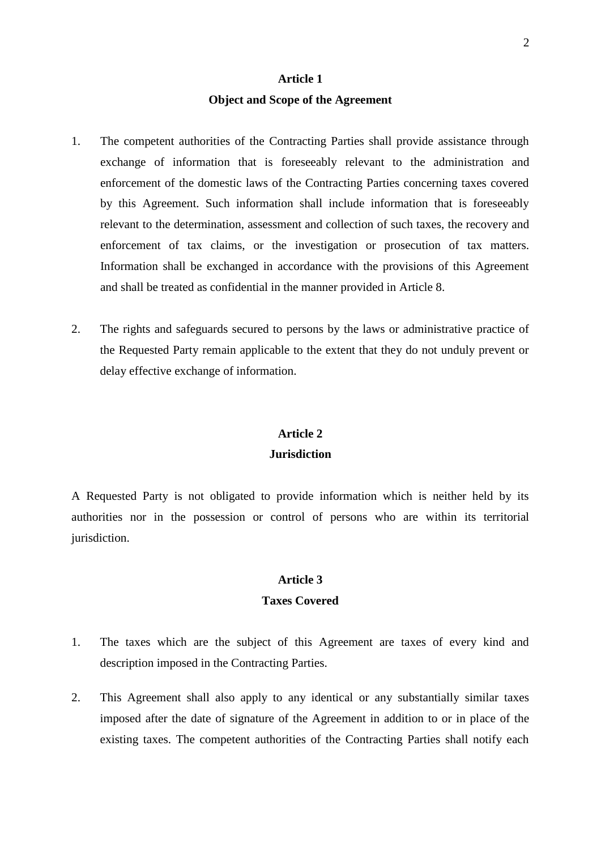#### **Article 1**

#### **Object and Scope of the Agreement**

- 1. The competent authorities of the Contracting Parties shall provide assistance through exchange of information that is foreseeably relevant to the administration and enforcement of the domestic laws of the Contracting Parties concerning taxes covered by this Agreement. Such information shall include information that is foreseeably relevant to the determination, assessment and collection of such taxes, the recovery and enforcement of tax claims, or the investigation or prosecution of tax matters. Information shall be exchanged in accordance with the provisions of this Agreement and shall be treated as confidential in the manner provided in Article 8.
- 2. The rights and safeguards secured to persons by the laws or administrative practice of the Requested Party remain applicable to the extent that they do not unduly prevent or delay effective exchange of information.

### **Article 2**

### **Jurisdiction**

A Requested Party is not obligated to provide information which is neither held by its authorities nor in the possession or control of persons who are within its territorial jurisdiction.

# **Article 3**

### **Taxes Covered**

- 1. The taxes which are the subject of this Agreement are taxes of every kind and description imposed in the Contracting Parties.
- 2. This Agreement shall also apply to any identical or any substantially similar taxes imposed after the date of signature of the Agreement in addition to or in place of the existing taxes. The competent authorities of the Contracting Parties shall notify each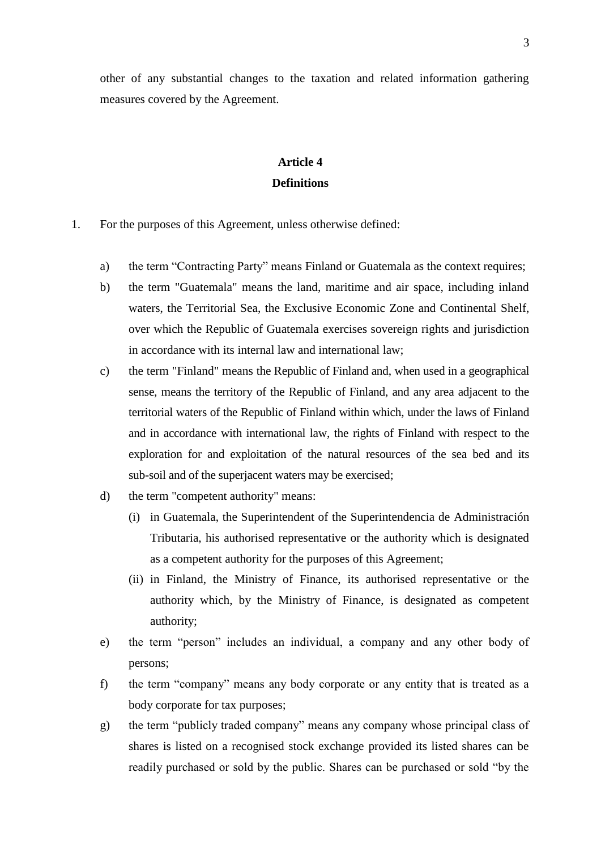### **Article 4 Definitions**

- 1. For the purposes of this Agreement, unless otherwise defined:
	- a) the term "Contracting Party" means Finland or Guatemala as the context requires;
	- b) the term "Guatemala" means the land, maritime and air space, including inland waters, the Territorial Sea, the Exclusive Economic Zone and Continental Shelf, over which the Republic of Guatemala exercises sovereign rights and jurisdiction in accordance with its internal law and international law;
	- c) the term "Finland" means the Republic of Finland and, when used in a geographical sense, means the territory of the Republic of Finland, and any area adjacent to the territorial waters of the Republic of Finland within which, under the laws of Finland and in accordance with international law, the rights of Finland with respect to the exploration for and exploitation of the natural resources of the sea bed and its sub-soil and of the superjacent waters may be exercised;
	- d) the term "competent authority" means:
		- (i) in Guatemala, the Superintendent of the Superintendencia de Administración Tributaria, his authorised representative or the authority which is designated as a competent authority for the purposes of this Agreement;
		- (ii) in Finland, the Ministry of Finance, its authorised representative or the authority which, by the Ministry of Finance, is designated as competent authority;
	- e) the term "person" includes an individual, a company and any other body of persons;
	- f) the term "company" means any body corporate or any entity that is treated as a body corporate for tax purposes;
	- g) the term "publicly traded company" means any company whose principal class of shares is listed on a recognised stock exchange provided its listed shares can be readily purchased or sold by the public. Shares can be purchased or sold "by the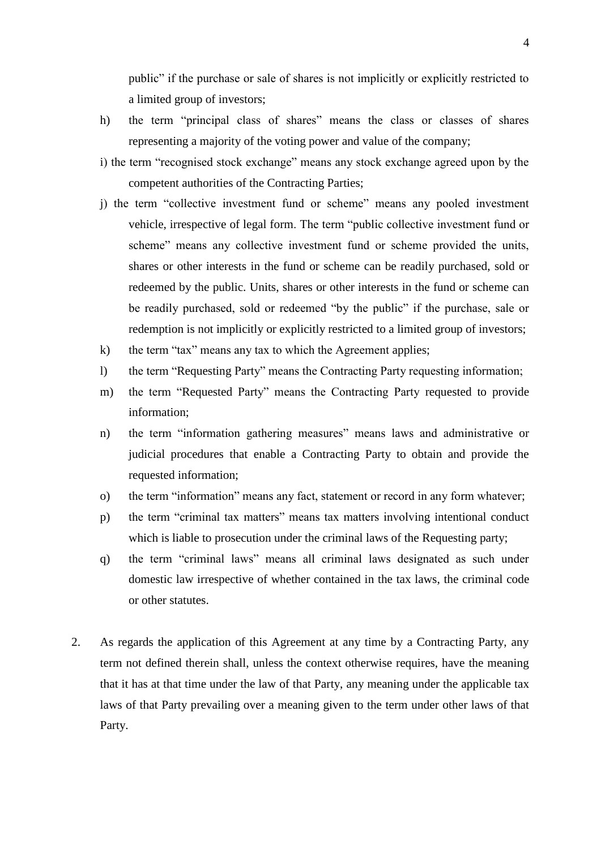public" if the purchase or sale of shares is not implicitly or explicitly restricted to a limited group of investors;

- h) the term "principal class of shares" means the class or classes of shares representing a majority of the voting power and value of the company;
- i) the term "recognised stock exchange" means any stock exchange agreed upon by the competent authorities of the Contracting Parties;
- j) the term "collective investment fund or scheme" means any pooled investment vehicle, irrespective of legal form. The term "public collective investment fund or scheme" means any collective investment fund or scheme provided the units, shares or other interests in the fund or scheme can be readily purchased, sold or redeemed by the public. Units, shares or other interests in the fund or scheme can be readily purchased, sold or redeemed "by the public" if the purchase, sale or redemption is not implicitly or explicitly restricted to a limited group of investors;
- k) the term "tax" means any tax to which the Agreement applies;
- l) the term "Requesting Party" means the Contracting Party requesting information;
- m) the term "Requested Party" means the Contracting Party requested to provide information;
- n) the term "information gathering measures" means laws and administrative or judicial procedures that enable a Contracting Party to obtain and provide the requested information;
- o) the term "information" means any fact, statement or record in any form whatever;
- p) the term "criminal tax matters" means tax matters involving intentional conduct which is liable to prosecution under the criminal laws of the Requesting party;
- q) the term "criminal laws" means all criminal laws designated as such under domestic law irrespective of whether contained in the tax laws, the criminal code or other statutes.
- 2. As regards the application of this Agreement at any time by a Contracting Party, any term not defined therein shall, unless the context otherwise requires, have the meaning that it has at that time under the law of that Party, any meaning under the applicable tax laws of that Party prevailing over a meaning given to the term under other laws of that Party.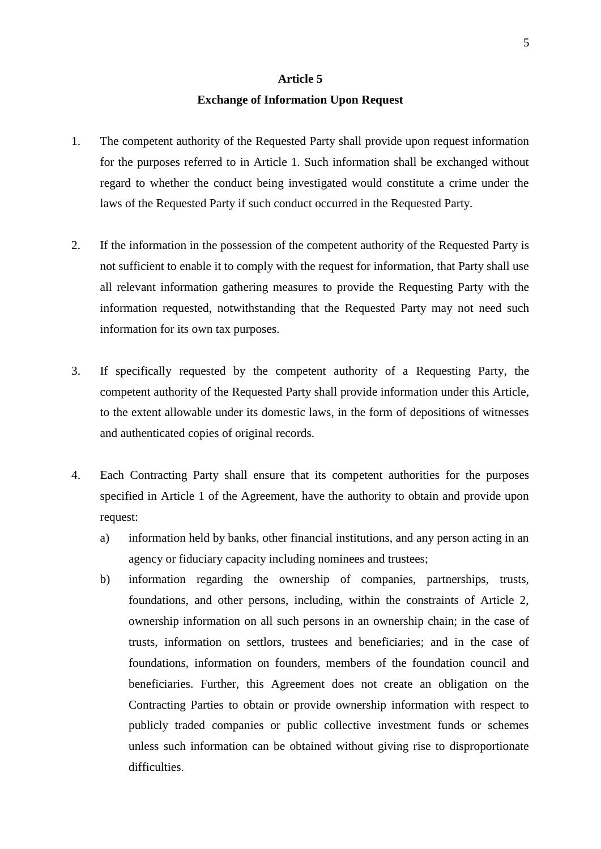#### **Article 5**

#### **Exchange of Information Upon Request**

- 1. The competent authority of the Requested Party shall provide upon request information for the purposes referred to in Article 1. Such information shall be exchanged without regard to whether the conduct being investigated would constitute a crime under the laws of the Requested Party if such conduct occurred in the Requested Party.
- 2. If the information in the possession of the competent authority of the Requested Party is not sufficient to enable it to comply with the request for information, that Party shall use all relevant information gathering measures to provide the Requesting Party with the information requested, notwithstanding that the Requested Party may not need such information for its own tax purposes.
- 3. If specifically requested by the competent authority of a Requesting Party, the competent authority of the Requested Party shall provide information under this Article, to the extent allowable under its domestic laws, in the form of depositions of witnesses and authenticated copies of original records.
- 4. Each Contracting Party shall ensure that its competent authorities for the purposes specified in Article 1 of the Agreement, have the authority to obtain and provide upon request:
	- a) information held by banks, other financial institutions, and any person acting in an agency or fiduciary capacity including nominees and trustees;
	- b) information regarding the ownership of companies, partnerships, trusts, foundations, and other persons, including, within the constraints of Article 2, ownership information on all such persons in an ownership chain; in the case of trusts, information on settlors, trustees and beneficiaries; and in the case of foundations, information on founders, members of the foundation council and beneficiaries. Further, this Agreement does not create an obligation on the Contracting Parties to obtain or provide ownership information with respect to publicly traded companies or public collective investment funds or schemes unless such information can be obtained without giving rise to disproportionate difficulties.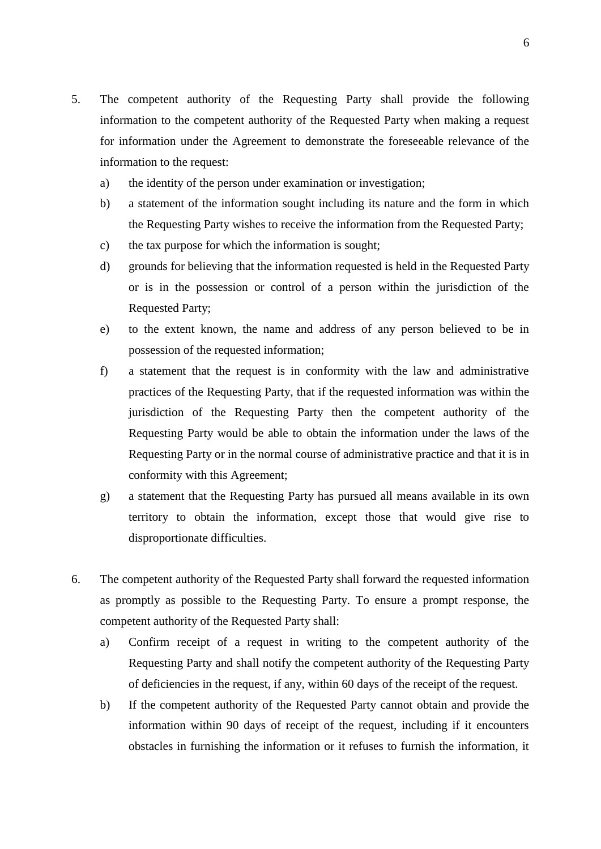- 5. The competent authority of the Requesting Party shall provide the following information to the competent authority of the Requested Party when making a request for information under the Agreement to demonstrate the foreseeable relevance of the information to the request:
	- a) the identity of the person under examination or investigation;
	- b) a statement of the information sought including its nature and the form in which the Requesting Party wishes to receive the information from the Requested Party;
	- c) the tax purpose for which the information is sought;
	- d) grounds for believing that the information requested is held in the Requested Party or is in the possession or control of a person within the jurisdiction of the Requested Party;
	- e) to the extent known, the name and address of any person believed to be in possession of the requested information;
	- f) a statement that the request is in conformity with the law and administrative practices of the Requesting Party, that if the requested information was within the jurisdiction of the Requesting Party then the competent authority of the Requesting Party would be able to obtain the information under the laws of the Requesting Party or in the normal course of administrative practice and that it is in conformity with this Agreement;
	- g) a statement that the Requesting Party has pursued all means available in its own territory to obtain the information, except those that would give rise to disproportionate difficulties.
- 6. The competent authority of the Requested Party shall forward the requested information as promptly as possible to the Requesting Party. To ensure a prompt response, the competent authority of the Requested Party shall:
	- a) Confirm receipt of a request in writing to the competent authority of the Requesting Party and shall notify the competent authority of the Requesting Party of deficiencies in the request, if any, within 60 days of the receipt of the request.
	- b) If the competent authority of the Requested Party cannot obtain and provide the information within 90 days of receipt of the request, including if it encounters obstacles in furnishing the information or it refuses to furnish the information, it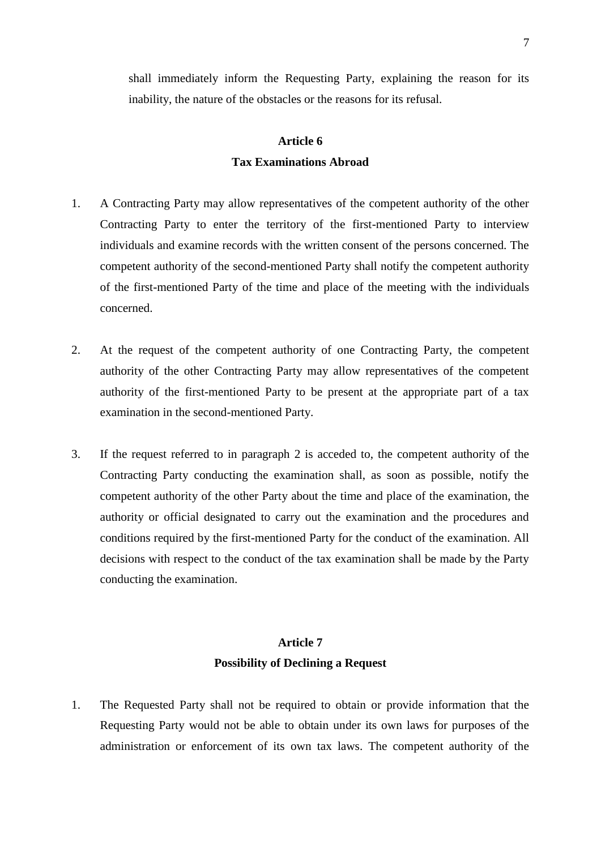shall immediately inform the Requesting Party, explaining the reason for its inability, the nature of the obstacles or the reasons for its refusal.

## **Article 6 Tax Examinations Abroad**

- 1. A Contracting Party may allow representatives of the competent authority of the other Contracting Party to enter the territory of the first-mentioned Party to interview individuals and examine records with the written consent of the persons concerned. The competent authority of the second-mentioned Party shall notify the competent authority of the first-mentioned Party of the time and place of the meeting with the individuals concerned.
- 2. At the request of the competent authority of one Contracting Party, the competent authority of the other Contracting Party may allow representatives of the competent authority of the first-mentioned Party to be present at the appropriate part of a tax examination in the second-mentioned Party.
- 3. If the request referred to in paragraph 2 is acceded to, the competent authority of the Contracting Party conducting the examination shall, as soon as possible, notify the competent authority of the other Party about the time and place of the examination, the authority or official designated to carry out the examination and the procedures and conditions required by the first-mentioned Party for the conduct of the examination. All decisions with respect to the conduct of the tax examination shall be made by the Party conducting the examination.

## **Article 7 Possibility of Declining a Request**

1. The Requested Party shall not be required to obtain or provide information that the Requesting Party would not be able to obtain under its own laws for purposes of the administration or enforcement of its own tax laws. The competent authority of the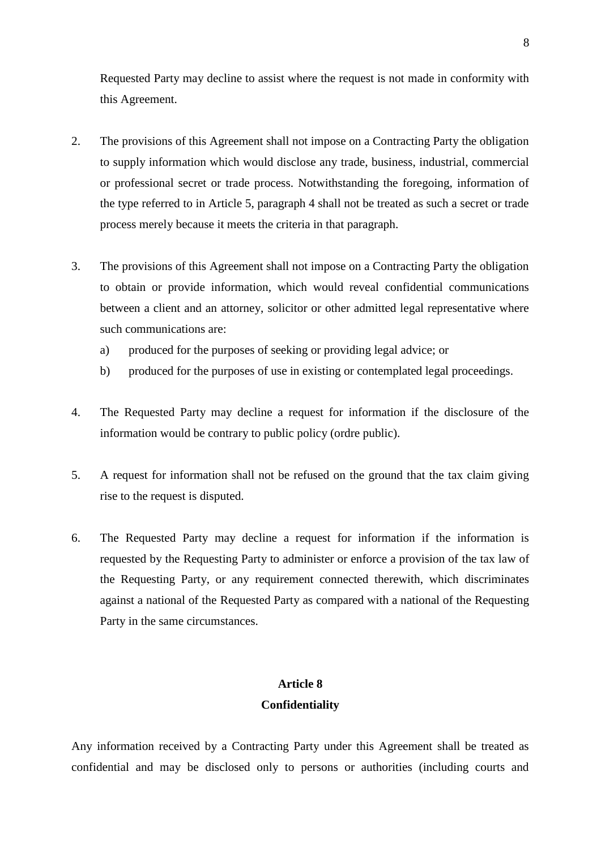Requested Party may decline to assist where the request is not made in conformity with this Agreement.

- 2. The provisions of this Agreement shall not impose on a Contracting Party the obligation to supply information which would disclose any trade, business, industrial, commercial or professional secret or trade process. Notwithstanding the foregoing, information of the type referred to in Article 5, paragraph 4 shall not be treated as such a secret or trade process merely because it meets the criteria in that paragraph.
- 3. The provisions of this Agreement shall not impose on a Contracting Party the obligation to obtain or provide information, which would reveal confidential communications between a client and an attorney, solicitor or other admitted legal representative where such communications are:
	- a) produced for the purposes of seeking or providing legal advice; or
	- b) produced for the purposes of use in existing or contemplated legal proceedings.
- 4. The Requested Party may decline a request for information if the disclosure of the information would be contrary to public policy (ordre public).
- 5. A request for information shall not be refused on the ground that the tax claim giving rise to the request is disputed.
- 6. The Requested Party may decline a request for information if the information is requested by the Requesting Party to administer or enforce a provision of the tax law of the Requesting Party, or any requirement connected therewith, which discriminates against a national of the Requested Party as compared with a national of the Requesting Party in the same circumstances.

### **Article 8 Confidentiality**

Any information received by a Contracting Party under this Agreement shall be treated as confidential and may be disclosed only to persons or authorities (including courts and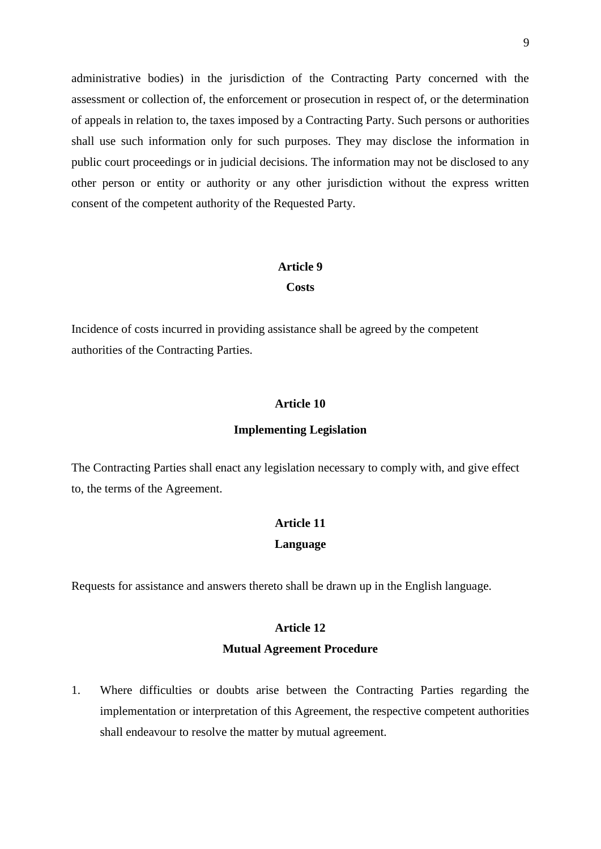administrative bodies) in the jurisdiction of the Contracting Party concerned with the assessment or collection of, the enforcement or prosecution in respect of, or the determination of appeals in relation to, the taxes imposed by a Contracting Party. Such persons or authorities shall use such information only for such purposes. They may disclose the information in public court proceedings or in judicial decisions. The information may not be disclosed to any other person or entity or authority or any other jurisdiction without the express written consent of the competent authority of the Requested Party.

#### **Article 9**

#### **Costs**

Incidence of costs incurred in providing assistance shall be agreed by the competent authorities of the Contracting Parties.

#### **Article 10**

#### **Implementing Legislation**

The Contracting Parties shall enact any legislation necessary to comply with, and give effect to, the terms of the Agreement.

# **Article 11**

#### **Language**

Requests for assistance and answers thereto shall be drawn up in the English language.

### **Article 12 Mutual Agreement Procedure**

1. Where difficulties or doubts arise between the Contracting Parties regarding the implementation or interpretation of this Agreement, the respective competent authorities shall endeavour to resolve the matter by mutual agreement.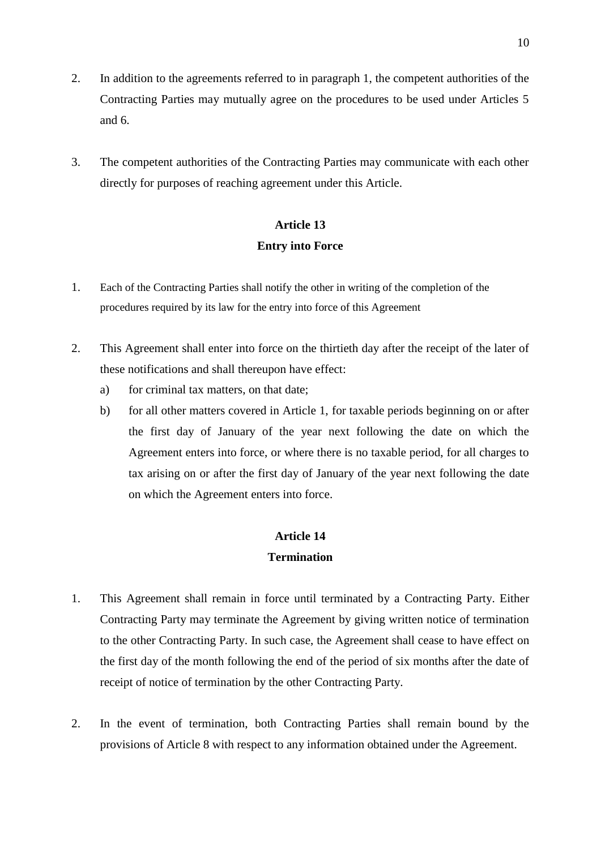- 2. In addition to the agreements referred to in paragraph 1, the competent authorities of the Contracting Parties may mutually agree on the procedures to be used under Articles 5 and 6.
- 3. The competent authorities of the Contracting Parties may communicate with each other directly for purposes of reaching agreement under this Article.

## **Article 13 Entry into Force**

- 1. Each of the Contracting Parties shall notify the other in writing of the completion of the procedures required by its law for the entry into force of this Agreement
- 2. This Agreement shall enter into force on the thirtieth day after the receipt of the later of these notifications and shall thereupon have effect:
	- a) for criminal tax matters, on that date;
	- b) for all other matters covered in Article 1, for taxable periods beginning on or after the first day of January of the year next following the date on which the Agreement enters into force, or where there is no taxable period, for all charges to tax arising on or after the first day of January of the year next following the date on which the Agreement enters into force.

### **Article 14 Termination**

- 1. This Agreement shall remain in force until terminated by a Contracting Party. Either Contracting Party may terminate the Agreement by giving written notice of termination to the other Contracting Party. In such case, the Agreement shall cease to have effect on the first day of the month following the end of the period of six months after the date of receipt of notice of termination by the other Contracting Party.
- 2. In the event of termination, both Contracting Parties shall remain bound by the provisions of Article 8 with respect to any information obtained under the Agreement.